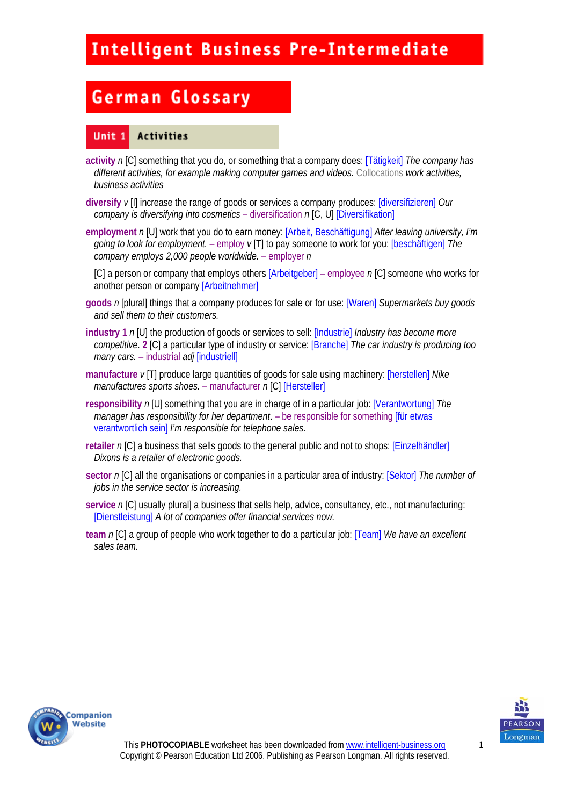# **German Glossary**

#### Unit 1 Activities

- **activity** *n* [C] something that you do, or something that a company does: [Tätigkeit] *The company has different activities, for example making computer games and videos.* Collocations *work activities, business activities*
- **diversify** *v* [I] increase the range of goods or services a company produces: [diversifizieren] *Our company is diversifying into cosmetics* – diversification *n* [C, U] [Diversifikation]
- **employment** *n* [U] work that you do to earn money: [Arbeit, Beschäftigung] *After leaving university, I'm going to look for employment.* – employ *v* [T] to pay someone to work for you: [beschäftigen] *The company employs 2,000 people worldwide.* – employer *n*

[C] a person or company that employs others [Arbeitgeber] – employee *n* [C] someone who works for another person or company [Arbeitnehmer]

- **goods** *n* [plural] things that a company produces for sale or for use: [Waren] *Supermarkets buy goods and sell them to their customers.*
- **industry 1** *n* [U] the production of goods or services to sell: [Industrie] *Industry has become more competitive*. **2** [C] a particular type of industry or service: [Branche] *The car industry is producing too many cars.* – industrial *adj* [industriell]
- **manufacture** *v* [T] produce large quantities of goods for sale using machinery: [herstellen] *Nike manufactures sports shoes.* – manufacturer *n* [C] [Hersteller]
- **responsibility** *n* [U] something that you are in charge of in a particular job: [Verantwortung] *The manager has responsibility for her department*. – be responsible for something [für etwas verantwortlich sein] *I'm responsible for telephone sales.*
- **retailer** *n* [C] a business that sells goods to the general public and not to shops: [Einzelhändler] *Dixons is a retailer of electronic goods.*
- **sector** *n* [C] all the organisations or companies in a particular area of industry: [Sektor] *The number of jobs in the service sector is increasing.*
- **service** *n* [C] usually plural] a business that sells help, advice, consultancy, etc., not manufacturing: [Dienstleistung] *A lot of companies offer financial services now.*
- **team** *n* [C] a group of people who work together to do a particular job: [Team] *We have an excellent sales team.*



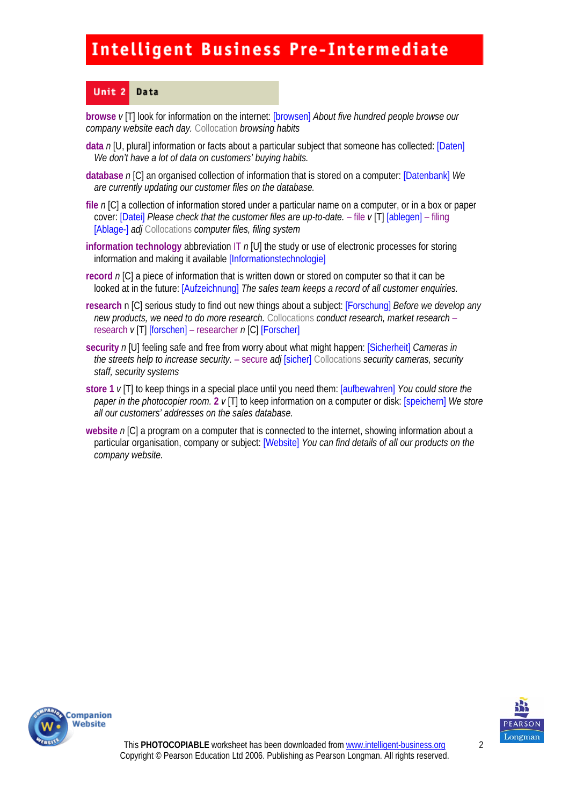#### Unit<sub>2</sub> Data

**browse** *v* [T] look for information on the internet: [browsen] *About five hundred people browse our company website each day.* Collocation *browsing habits* 

- **data** *n* [U, plural] information or facts about a particular subject that someone has collected: [Daten] *We don't have a lot of data on customers' buying habits.*
- **database** *n* [C] an organised collection of information that is stored on a computer: [Datenbank] *We are currently updating our customer files on the database.*
- **file** *n* [C] a collection of information stored under a particular name on a computer, or in a box or paper cover: [Datei] *Please check that the customer files are up-to-date.* – file *v* [T] [ablegen] – filing [Ablage-] *adj* Collocations *computer files, filing system*
- **information technology** abbreviation IT *n* [U] the study or use of electronic processes for storing information and making it available [Informationstechnologie]
- **record** *n* [C] a piece of information that is written down or stored on computer so that it can be looked at in the future: [Aufzeichnung] *The sales team keeps a record of all customer enquiries.*
- **research** n [C] serious study to find out new things about a subject: [Forschung] *Before we develop any new products, we need to do more research.* Collocations *conduct research, market research* – research *v* [T] [forschen] – researcher *n* [C] [Forscher]
- **security** *n* [U] feeling safe and free from worry about what might happen: [Sicherheit] *Cameras in the streets help to increase security.* – secure *adj* [sicher] Collocations *security cameras, security staff, security systems*
- **store 1** *v* [T] to keep things in a special place until you need them: [aufbewahren] *You could store the paper in the photocopier room.* **2** *v* [T] to keep information on a computer or disk: [speichern] *We store all our customers' addresses on the sales database.*
- **website** *n* [C] a program on a computer that is connected to the internet, showing information about a particular organisation, company or subject: [Website] *You can find details of all our products on the company website.*



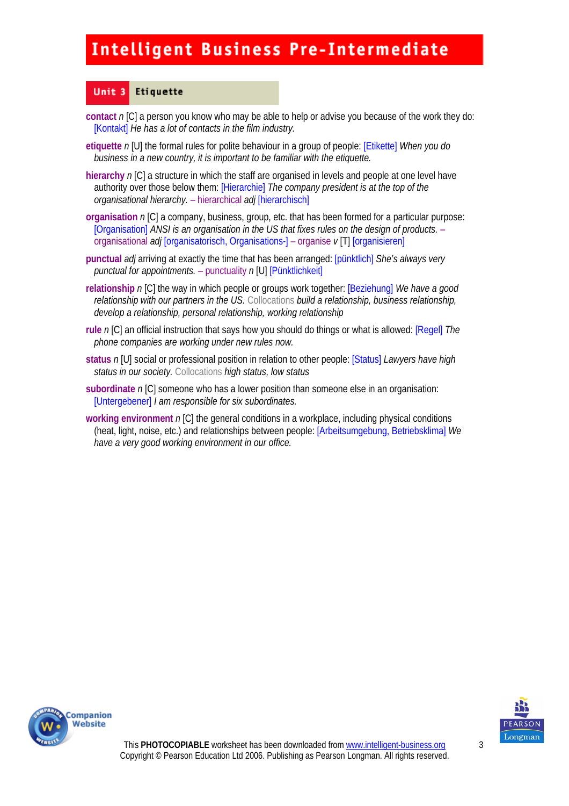#### Unit 3 Etiquette

- **contact** *n* [C] a person you know who may be able to help or advise you because of the work they do: [Kontakt] *He has a lot of contacts in the film industry.*
- **etiquette** *n* [U] the formal rules for polite behaviour in a group of people: [Etikette] *When you do business in a new country, it is important to be familiar with the etiquette.*
- **hierarchy** *n* [C] a structure in which the staff are organised in levels and people at one level have authority over those below them: [Hierarchie] *The company president is at the top of the organisational hierarchy.* – hierarchical *adj* [hierarchisch]
- **organisation** *n* [C] a company, business, group, etc. that has been formed for a particular purpose: [Organisation] *ANSI is an organisation in the US that fixes rules on the design of products.* – organisational *adj* [organisatorisch, Organisations-] – organise *v* [T] [organisieren]
- **punctual** *adj* arriving at exactly the time that has been arranged: [pünktlich] *She's always very punctual for appointments.* – punctuality *n* [U] [Pünktlichkeit]
- **relationship** *n* [C] the way in which people or groups work together: [Beziehung] *We have a good relationship with our partners in the US.* Collocations *build a relationship, business relationship, develop a relationship, personal relationship, working relationship*
- **rule** *n* [C] an official instruction that says how you should do things or what is allowed: [Regel] *The phone companies are working under new rules now.*
- **status** *n* [U] social or professional position in relation to other people: [Status] *Lawyers have high status in our society.* Collocations *high status, low status*
- **subordinate** *n* [C] someone who has a lower position than someone else in an organisation: [Untergebener] *I am responsible for six subordinates.*
- **working environment** *n* [C] the general conditions in a workplace, including physical conditions (heat, light, noise, etc.) and relationships between people: [Arbeitsumgebung, Betriebsklima] *We have a very good working environment in our office.*



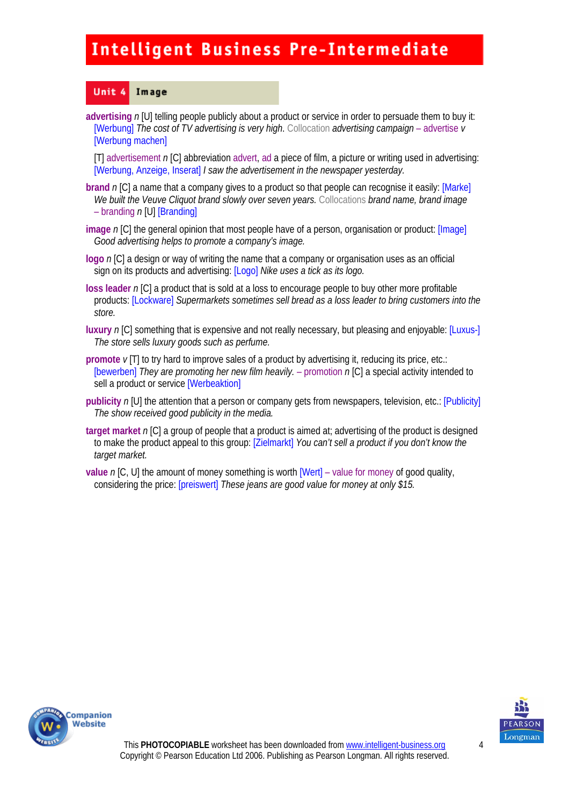#### Unit 4 Image

**advertising** *n* [U] telling people publicly about a product or service in order to persuade them to buy it: [Werbung] *The cost of TV advertising is very high*. Collocation *advertising campaign* – advertise *v*  [Werbung machen]

[T] advertisement *n* [C] abbreviation advert, ad a piece of film, a picture or writing used in advertising: [Werbung, Anzeige, Inserat] *I saw the advertisement in the newspaper yesterday.* 

- **brand** *n* [C] a name that a company gives to a product so that people can recognise it easily: [Marke] *We built the Veuve Cliquot brand slowly over seven years.* Collocations *brand name, brand image*  – branding *n* [U] [Branding]
- **image** *n* [C] the general opinion that most people have of a person, organisation or product: [Image] *Good advertising helps to promote a company's image.*
- **logo** *n* [C] a design or way of writing the name that a company or organisation uses as an official sign on its products and advertising: [Logo] *Nike uses a tick as its logo.*
- **loss leader** *n* [C] a product that is sold at a loss to encourage people to buy other more profitable products: [Lockware] *Supermarkets sometimes sell bread as a loss leader to bring customers into the store.*
- **luxury** *n* [C] something that is expensive and not really necessary, but pleasing and enjoyable: [Luxus-] *The store sells luxury goods such as perfume.*
- **promote**  $\nu$  [T] to try hard to improve sales of a product by advertising it, reducing its price, etc.: [bewerben] *They are promoting her new film heavily.* – promotion n [C] a special activity intended to sell a product or service [Werbeaktion]
- **publicity** *n* [U] the attention that a person or company gets from newspapers, television, etc.: [Publicity] *The show received good publicity in the media.*
- **target market** *n* [C] a group of people that a product is aimed at; advertising of the product is designed to make the product appeal to this group: [Zielmarkt] *You can't sell a product if you don't know the target market.*
- **value** *n* [C, U] the amount of money something is worth [Wert] value for money of good quality, considering the price: [preiswert] *These jeans are good value for money at only \$15.*



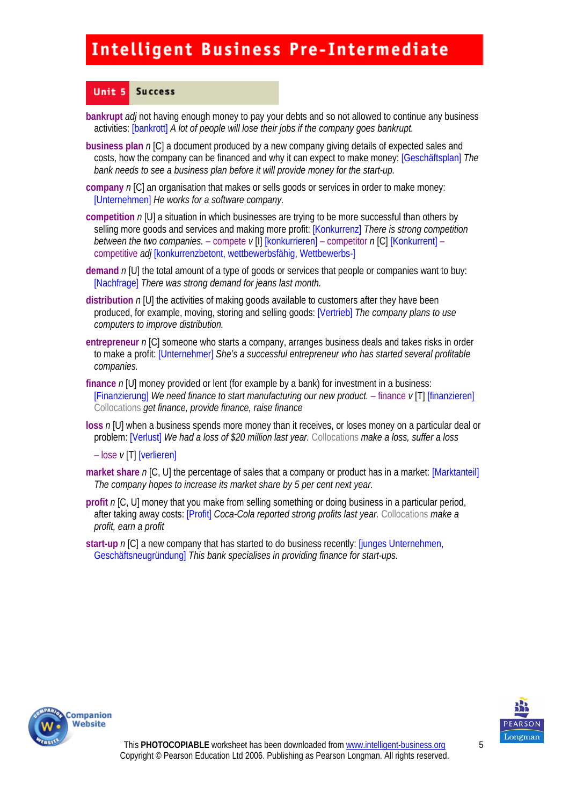#### Unit 5 **Success**

- **bankrupt** *adj* not having enough money to pay your debts and so not allowed to continue any business activities: [bankrott] *A lot of people will lose their jobs if the company goes bankrupt.*
- **business plan** *n* [C] a document produced by a new company giving details of expected sales and costs, how the company can be financed and why it can expect to make money: [Geschäftsplan] *The bank needs to see a business plan before it will provide money for the start-up.*
- **company** *n* [C] an organisation that makes or sells goods or services in order to make money: [Unternehmen] *He works for a software company.*
- **competition** *n* [U] a situation in which businesses are trying to be more successful than others by selling more goods and services and making more profit: [Konkurrenz] *There is strong competition between the two companies.* – compete  $v[1]$  [konkurrieren] – competitor  $n[C]$  [Konkurrent] – competitive *adj* [konkurrenzbetont, wettbewerbsfähig, Wettbewerbs-]
- **demand** *n* [U] the total amount of a type of goods or services that people or companies want to buy: [Nachfrage] *There was strong demand for jeans last month.*
- **distribution** *n* [U] the activities of making goods available to customers after they have been produced, for example, moving, storing and selling goods: [Vertrieb] *The company plans to use computers to improve distribution.*
- **entrepreneur** *n* [C] someone who starts a company, arranges business deals and takes risks in order to make a profit: [Unternehmer] *She's a successful entrepreneur who has started several profitable companies.*
- **finance** *n* [U] money provided or lent (for example by a bank) for investment in a business: [Finanzierung] *We need finance to start manufacturing our new product.* – finance *v* [T] [finanzieren] Collocations *get finance, provide finance, raise finance*
- **loss** *n* [U] when a business spends more money than it receives, or loses money on a particular deal or problem: [Verlust] *We had a loss of \$20 million last year.* Collocations *make a loss, suffer a loss*

– lose *v* [T] [verlieren]

- **market share** *n* [C, U] the percentage of sales that a company or product has in a market: [Marktanteil] *The company hopes to increase its market share by 5 per cent next year.*
- **profit** *n* [C, U] money that you make from selling something or doing business in a particular period, after taking away costs: [Profit] *Coca-Cola reported strong profits last year.* Collocations *make a profit, earn a profit*
- **start-up** *n* [C] a new company that has started to do business recently: [junges Unternehmen, Geschäftsneugründung] *This bank specialises in providing finance for start-ups.*



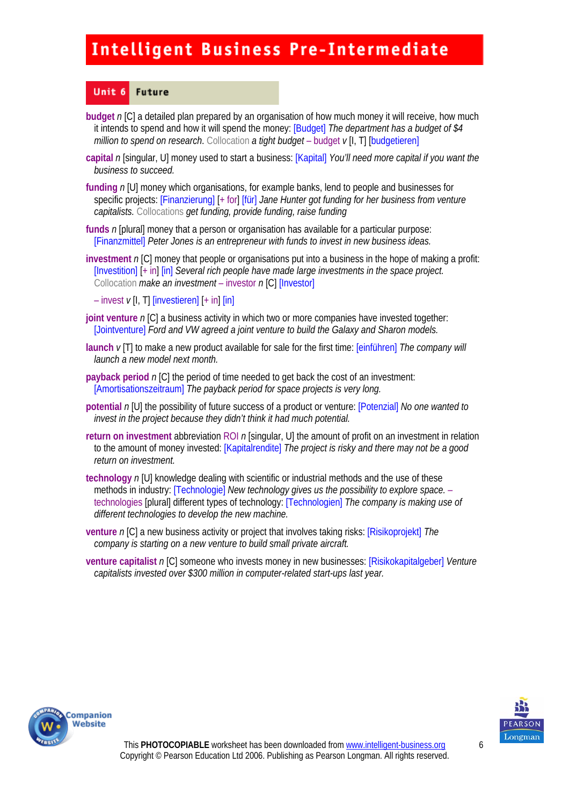#### Unit 6 **Future**

- **budget** *n* [C] a detailed plan prepared by an organisation of how much money it will receive, how much it intends to spend and how it will spend the money: [Budget] *The department has a budget of \$4 million to spend on research.* Collocation *a tight budget* – budget  $\nu$  [I, T] [budgetieren]
- **capital** *n* [singular, U] money used to start a business: [Kapital] *You'll need more capital if you want the business to succeed.*
- **funding** *n* [U] money which organisations, for example banks, lend to people and businesses for specific projects: [Finanzierung] [+ for] [für] *Jane Hunter got funding for her business from venture capitalists.* Collocations *get funding, provide funding, raise funding*
- **funds** *n* [plural] money that a person or organisation has available for a particular purpose: [Finanzmittel] *Peter Jones is an entrepreneur with funds to invest in new business ideas.*
- **investment** *n* [C] money that people or organisations put into a business in the hope of making a profit: [Investition] [+ in] [in] *Several rich people have made large investments in the space project.*  Collocation *make an investment* – investor *n* [C] [Investor]
	- $-$  invest  $\nu$  [I, T] [investieren]  $[+$  in]  $\overline{[in]}$
- **joint venture** *n* [C] a business activity in which two or more companies have invested together: [Jointventure] *Ford and VW agreed a joint venture to build the Galaxy and Sharon models.*
- **launch** *v* [T] to make a new product available for sale for the first time: [einführen] *The company will launch a new model next month.*
- **payback period**  $n$  [C] the period of time needed to get back the cost of an investment: [Amortisationszeitraum] *The payback period for space projects is very long.*
- **potential** *n* [U] the possibility of future success of a product or venture: [Potenzial] *No one wanted to invest in the project because they didn't think it had much potential.*
- **return on investment** abbreviation ROI *n* [singular, U] the amount of profit on an investment in relation to the amount of money invested: [Kapitalrendite] *The project is risky and there may not be a good return on investment.*
- **technology** *n* [U] knowledge dealing with scientific or industrial methods and the use of these methods in industry: [Technologie] *New technology gives us the possibility to explore space.* – technologies [plural] different types of technology: [Technologien] *The company is making use of different technologies to develop the new machine.*
- **venture** *n* [C] a new business activity or project that involves taking risks: [Risikoprojekt] *The company is starting on a new venture to build small private aircraft.*
- **venture capitalist** *n* [C] someone who invests money in new businesses: [Risikokapitalgeber] *Venture capitalists invested over \$300 million in computer-related start-ups last year.*



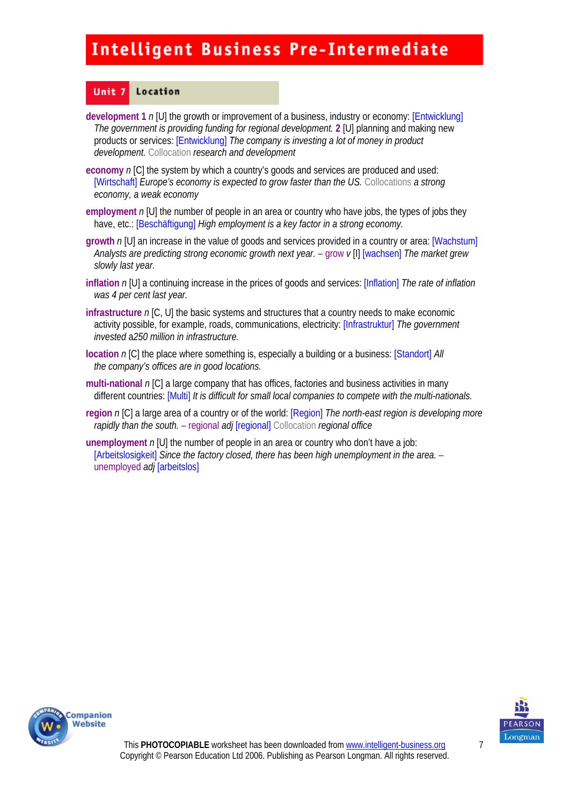#### Unit<sub>7</sub> Location

- **development 1** *n* [U] the growth or improvement of a business, industry or economy: [Entwicklung] *The government is providing funding for regional development.* **2** [U] planning and making new products or services: [Entwicklung] *The company is investing a lot of money in product development.* Collocation *research and development*
- **economy** *n* [C] the system by which a country's goods and services are produced and used: [Wirtschaft] *Europe's economy is expected to grow faster than the US*. Collocations *a strong economy, a weak economy*
- **employment** *n* [U] the number of people in an area or country who have jobs, the types of jobs they have, etc.: [Beschäftigung] *High employment is a key factor in a strong economy.*
- **growth** *n* [U] an increase in the value of goods and services provided in a country or area: [Wachstum] *Analysts are predicting strong economic growth next year.* – grow *v* [I] [wachsen] *The market grew slowly last year.*
- **inflation** *n* [U] a continuing increase in the prices of goods and services: [Inflation] *The rate of inflation was 4 per cent last year.*
- **infrastructure** *n* [C, U] the basic systems and structures that a country needs to make economic activity possible, for example, roads, communications, electricity: [Infrastruktur] *The government invested* a*250 million in infrastructure.*
- **location** *n* [C] the place where something is, especially a building or a business: [Standort] *All the company's offices are in good locations.*
- **multi-national** *n* [C] a large company that has offices, factories and business activities in many different countries: [Multi] *It is difficult for small local companies to compete with the multi-nationals.*
- **region** *n* [C] a large area of a country or of the world: [Region] *The north-east region is developing more rapidly than the south.* – regional *adj* [regional] Collocation *regional office*
- **unemployment** *n* [U] the number of people in an area or country who don't have a job: [Arbeitslosigkeit] *Since the factory closed, there has been high unemployment in the area.* – unemployed *adj* [arbeitslos]



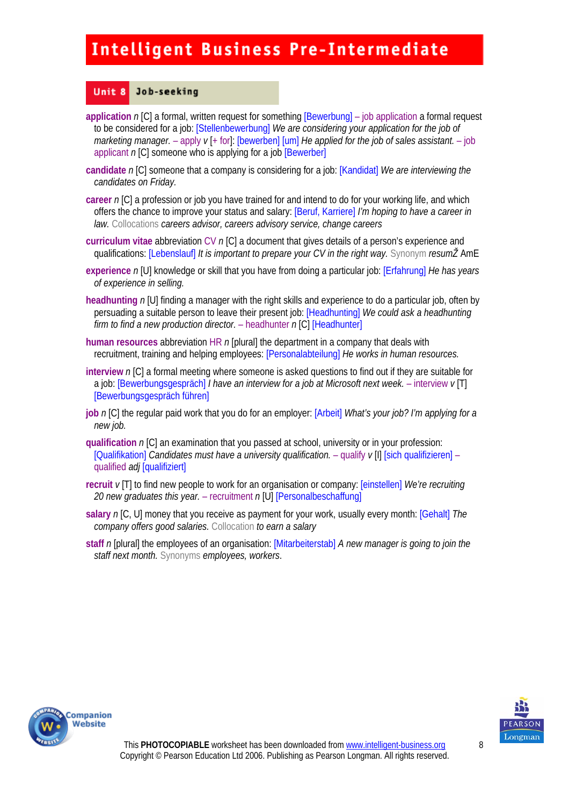#### Unit 8 Job-seeking

- **application** *n* [C] a formal, written request for something [Bewerbung] job application a formal request to be considered for a job: [Stellenbewerbung] *We are considering your application for the job of marketing manager.* – apply *v* [+ for]: [bewerben] [um] *He applied for the job of sales assistant.* – job applicant *n* [C] someone who is applying for a job [Bewerber]
- **candidate** *n* [C] someone that a company is considering for a job: [Kandidat] *We are interviewing the candidates on Friday.*
- **career** *n* [C] a profession or job you have trained for and intend to do for your working life, and which offers the chance to improve your status and salary: [Beruf, Karriere] *I'm hoping to have a career in law.* Collocations *careers advisor, careers advisory service, change careers*
- **curriculum vitae** abbreviation CV *n* [C] a document that gives details of a person's experience and qualifications: [Lebenslauf] *It is important to prepare your CV in the right way.* Synonym *resumŽ* AmE
- **experience** *n* [U] knowledge or skill that you have from doing a particular job: [Erfahrung] *He has years of experience in selling.*
- **headhunting** *n* [U] finding a manager with the right skills and experience to do a particular job, often by persuading a suitable person to leave their present job: [Headhunting] *We could ask a headhunting firm to find a new production director.* – headhunter *n* [C] [Headhunter]
- **human resources** abbreviation HR *n* [plural] the department in a company that deals with recruitment, training and helping employees: [Personalabteilung] *He works in human resources.*
- **interview** *n* [C] a formal meeting where someone is asked questions to find out if they are suitable for a job: [Bewerbungsgespräch] *I have an interview for a job at Microsoft next week.* – interview *v* [T] [Bewerbungsgespräch führen]
- **job** *n* [C] the regular paid work that you do for an employer: [Arbeit] *What's your job? I'm applying for a new job.*
- **qualification** *n* [C] an examination that you passed at school, university or in your profession: [Qualifikation] *Candidates must have a university qualification.* – qualify *v* [I] [sich qualifizieren] – qualified *adj* [qualifiziert]
- **recruit** *v* [T] to find new people to work for an organisation or company: [einstellen] *We're recruiting 20 new graduates this year.* – recruitment *n* [U] [Personalbeschaffung]
- **salary** *n* [C, U] money that you receive as payment for your work, usually every month: [Gehalt] *The company offers good salaries.* Collocation *to earn a salary*
- **staff** *n* [plural] the employees of an organisation: [Mitarbeiterstab] *A new manager is going to join the staff next month.* Synonyms *employees, workers*.



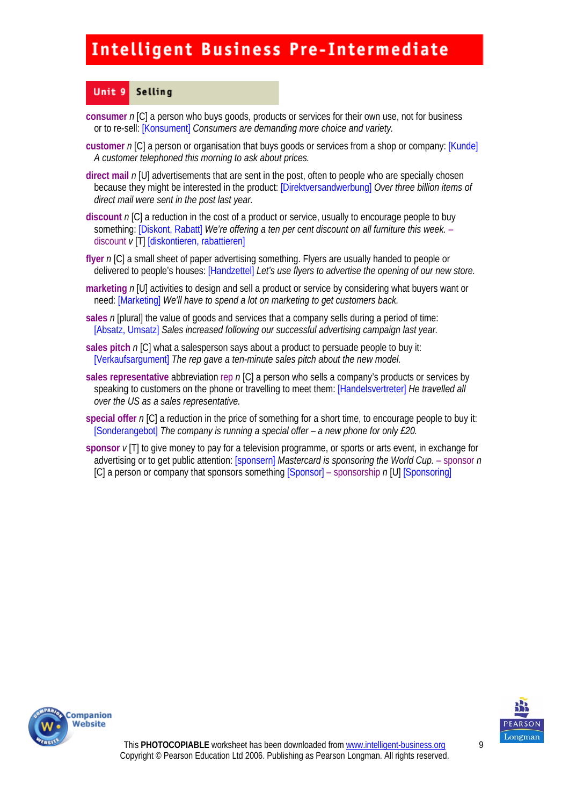#### Unit 9 Selling

- **consumer** *n* [C] a person who buys goods, products or services for their own use, not for business or to re-sell: [Konsument] *Consumers are demanding more choice and variety.*
- **customer** *n* [C] a person or organisation that buys goods or services from a shop or company: [Kunde] *A customer telephoned this morning to ask about prices.*
- **direct mail** *n* [U] advertisements that are sent in the post, often to people who are specially chosen because they might be interested in the product: [Direktversandwerbung] *Over three billion items of direct mail were sent in the post last year.*
- **discount** *n* [C] a reduction in the cost of a product or service, usually to encourage people to buy something: [Diskont, Rabatt] *We're offering a ten per cent discount on all furniture this week.* – discount *v* [T] [diskontieren, rabattieren]
- **flyer** *n* [C] a small sheet of paper advertising something. Flyers are usually handed to people or delivered to people's houses: [Handzettel] *Let's use flyers to advertise the opening of our new store.*
- **marketing** *n* [U] activities to design and sell a product or service by considering what buyers want or need: [Marketing] *We'll have to spend a lot on marketing to get customers back.*
- **sales** *n* [plural] the value of goods and services that a company sells during a period of time: [Absatz, Umsatz] *Sales increased following our successful advertising campaign last year.*
- **sales pitch** *n* [C] what a salesperson says about a product to persuade people to buy it: [Verkaufsargument] *The rep gave a ten-minute sales pitch about the new model.*
- **sales representative** abbreviation rep *n* [C] a person who sells a company's products or services by speaking to customers on the phone or travelling to meet them: [Handelsvertreter] *He travelled all over the US as a sales representative.*
- **special offer** *n* [C] a reduction in the price of something for a short time, to encourage people to buy it: [Sonderangebot] *The company is running a special offer – a new phone for only £20.*
- **sponsor** *v* [T] to give money to pay for a television programme, or sports or arts event, in exchange for advertising or to get public attention: [sponsern] *Mastercard is sponsoring the World Cup.* – sponsor *n*  [C] a person or company that sponsors something [Sponsor] – sponsorship *n* [U] [Sponsoring]



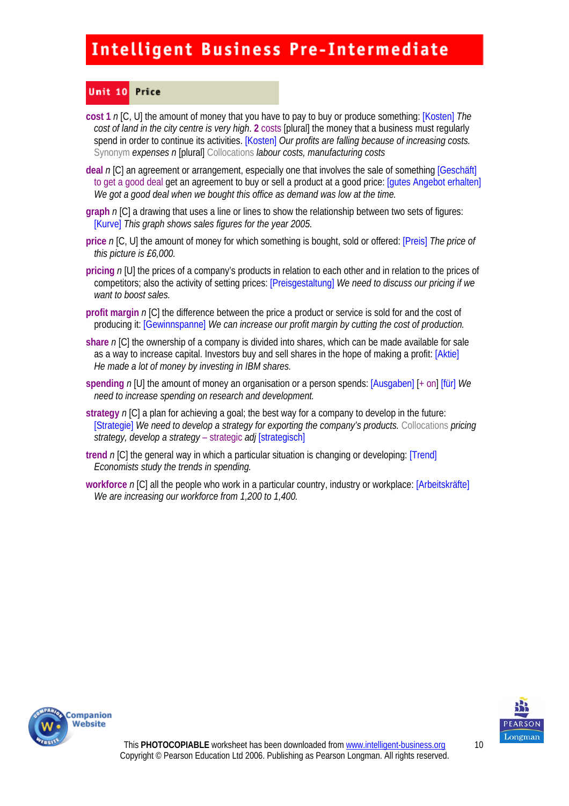#### Unit 10 Price

**cost 1** *n* [C, U] the amount of money that you have to pay to buy or produce something: [Kosten] *The cost of land in the city centre is very high*. **2** costs [plural] the money that a business must regularly spend in order to continue its activities. **[Kosten]** Our profits are falling because of increasing costs. Synonym *expenses n* [plural] Collocations *labour costs, manufacturing costs* 

**deal** *n* [C] an agreement or arrangement, especially one that involves the sale of something [Geschäft] to get a good deal get an agreement to buy or sell a product at a good price: [gutes Angebot erhalten] *We got a good deal when we bought this office as demand was low at the time.* 

**graph** *n* [C] a drawing that uses a line or lines to show the relationship between two sets of figures: [Kurve] *This graph shows sales figures for the year 2005.* 

**price** *n* [C, U] the amount of money for which something is bought, sold or offered: [Preis] *The price of this picture is £6,000.* 

**pricing** *n* [U] the prices of a company's products in relation to each other and in relation to the prices of competitors; also the activity of setting prices: [Preisgestaltung] *We need to discuss our pricing if we want to boost sales.* 

**profit margin** *n* [C] the difference between the price a product or service is sold for and the cost of producing it: [Gewinnspanne] *We can increase our profit margin by cutting the cost of production.* 

**share** *n* [C] the ownership of a company is divided into shares, which can be made available for sale as a way to increase capital. Investors buy and sell shares in the hope of making a profit: [Aktie] *He made a lot of money by investing in IBM shares.* 

**spending** *n* [U] the amount of money an organisation or a person spends: [Ausgaben] [+ on] [für] *We need to increase spending on research and development.* 

**strategy** *n* [C] a plan for achieving a goal; the best way for a company to develop in the future: [Strategie] *We need to develop a strategy for exporting the company's products.* Collocations *pricing strategy, develop a strategy* – strategic *adj* [strategisch]

**trend** *n* [C] the general way in which a particular situation is changing or developing: [Trend] *Economists study the trends in spending.* 

**workforce** *n* [C] all the people who work in a particular country, industry or workplace: [Arbeitskräfte] *We are increasing our workforce from 1,200 to 1,400.* 



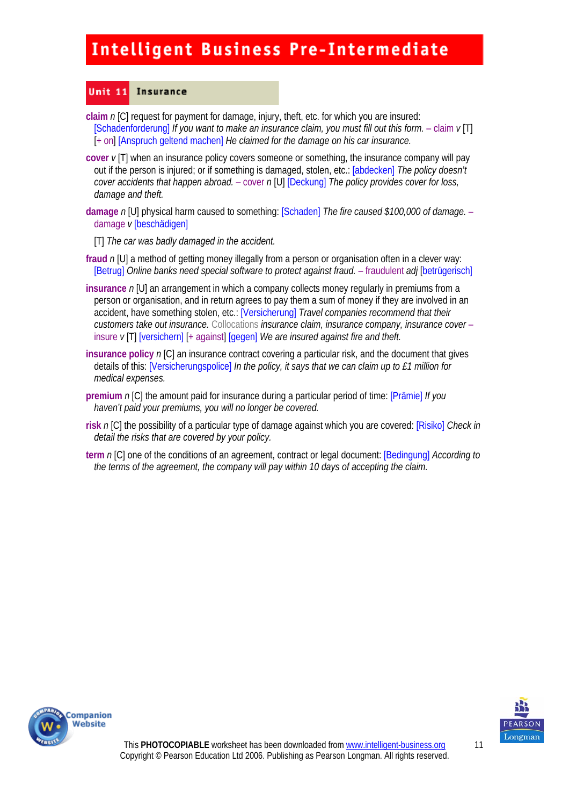#### Unit  $11$ **Insurance**

- **claim** *n* [C] request for payment for damage, injury, theft, etc. for which you are insured: [Schadenforderung] *If you want to make an insurance claim, you must fill out this form.* – claim  $v[T]$ [+ on] [Anspruch geltend machen] *He claimed for the damage on his car insurance*.
- **cover** *v* [T] when an insurance policy covers someone or something, the insurance company will pay out if the person is injured; or if something is damaged, stolen, etc.: [abdecken] *The policy doesn't cover accidents that happen abroad.* – cover *n* [U] [Deckung] *The policy provides cover for loss, damage and theft.*
- **damage** *n* [U] physical harm caused to something: [Schaden] *The fire caused \$100,000 of damage.*  damage *v* [beschädigen]
	- [T] *The car was badly damaged in the accident.*
- **fraud** *n* [U] a method of getting money illegally from a person or organisation often in a clever way: [Betrug] *Online banks need special software to protect against fraud.* – fraudulent *adj* [betrügerisch]
- **insurance** *n* [U] an arrangement in which a company collects money regularly in premiums from a person or organisation, and in return agrees to pay them a sum of money if they are involved in an accident, have something stolen, etc.: [Versicherung] *Travel companies recommend that their customers take out insurance.* Collocations *insurance claim, insurance company, insurance cover* – insure *v* [T] [versichern] [+ against] [gegen] *We are insured against fire and theft.*
- **insurance policy n [C] an insurance contract covering a particular risk, and the document that gives** details of this: [Versicherungspolice] *In the policy, it says that we can claim up to £1 million for medical expenses.*
- **premium** *n* [C] the amount paid for insurance during a particular period of time: [Prämie] *If you haven't paid your premiums, you will no longer be covered.*
- **risk** *n* [C] the possibility of a particular type of damage against which you are covered: [Risiko] *Check in detail the risks that are covered by your policy.*
- **term** *n* [C] one of the conditions of an agreement, contract or legal document: [Bedingung] *According to the terms of the agreement, the company will pay within 10 days of accepting the claim.*



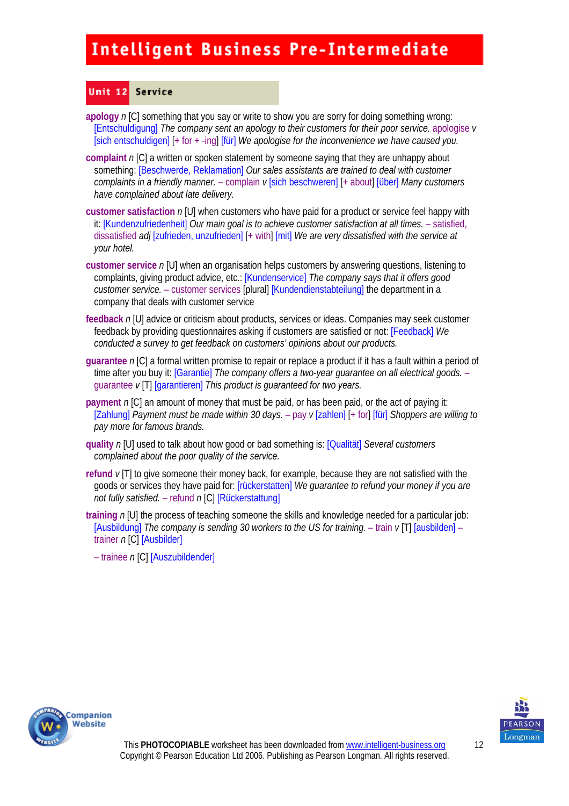#### Unit 12 Service

**apology** *n* [C] something that you say or write to show you are sorry for doing something wrong: [Entschuldigung] *The company sent an apology to their customers for their poor service.* apologise *v*  [sich entschuldigen] [+ for + -ing] [für] *We apologise for the inconvenience we have caused you.* 

- **complaint** *n* [C] a written or spoken statement by someone saying that they are unhappy about something: [Beschwerde, Reklamation] *Our sales assistants are trained to deal with customer complaints in a friendly manner.* – complain *v* [sich beschweren] [+ about] [über] *Many customers have complained about late delivery.*
- **customer satisfaction** *n* [U] when customers who have paid for a product or service feel happy with it: [Kundenzufriedenheit] *Our main goal is to achieve customer satisfaction at all times.* – satisfied, dissatisfied *adj* [zufrieden, unzufrieden] [+ with] [mit] *We are very dissatisfied with the service at your hotel.*
- **customer service** *n* [U] when an organisation helps customers by answering questions, listening to complaints, giving product advice, etc.: [Kundenservice] *The company says that it offers good customer service.* – customer services [plural] [Kundendienstabteilung] the department in a company that deals with customer service
- **feedback** *n* [U] advice or criticism about products, services or ideas. Companies may seek customer feedback by providing questionnaires asking if customers are satisfied or not: [Feedback] *We conducted a survey to get feedback on customers' opinions about our products.*
- **guarantee** *n* [C] a formal written promise to repair or replace a product if it has a fault within a period of time after you buy it: [Garantie] *The company offers a two-year guarantee on all electrical goods.* – guarantee *v* [T] [garantieren] *This product is guaranteed for two years.*
- **payment** *n* [C] an amount of money that must be paid, or has been paid, or the act of paying it: [Zahlung] *Payment must be made within 30 days.* – pay *v* [zahlen] [+ for] [für] *Shoppers are willing to pay more for famous brands.*
- **quality** *n* [U] used to talk about how good or bad something is: [Qualität] *Several customers complained about the poor quality of the service.*
- **refund** *v* [T] to give someone their money back, for example, because they are not satisfied with the goods or services they have paid for: [rückerstatten] *We guarantee to refund your money if you are not fully satisfied.* – refund *n* [C] [Rückerstattung]
- **training** *n* [U] the process of teaching someone the skills and knowledge needed for a particular job: [Ausbildung] *The company is sending 30 workers to the US for training.* – train  $v$  [T] [ausbilden] – trainer *n* [C] [Ausbilder]

– trainee *n* [C] [Auszubildender]



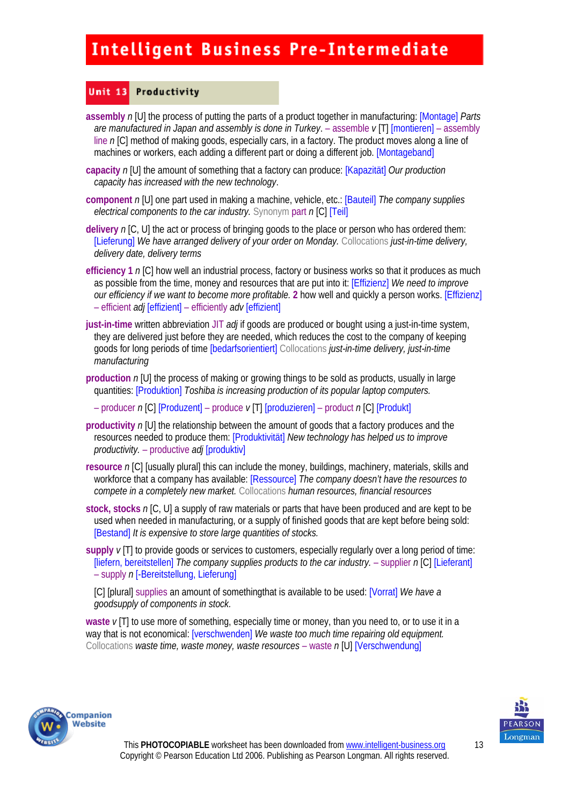#### Unit 13 Productivity

- **assembly** *n* [U] the process of putting the parts of a product together in manufacturing: [Montage] *Parts are manufactured in Japan and assembly is done in Turkey*. – assemble *v* [T] [montieren] – assembly line *n* [C] method of making goods, especially cars, in a factory. The product moves along a line of machines or workers, each adding a different part or doing a different job. [Montageband]
- **capacity** *n* [U] the amount of something that a factory can produce: [Kapazität] *Our production capacity has increased with the new technology*.
- **component** *n* [U] one part used in making a machine, vehicle, etc.: [Bauteil] *The company supplies electrical components to the car industry.* Synonym part *n* [C] [Teil]
- **delivery** *n* [C, U] the act or process of bringing goods to the place or person who has ordered them: [Lieferung] *We have arranged delivery of your order on Monday.* Collocations *just-in-time delivery, delivery date, delivery terms*
- **efficiency 1** *n* [C] how well an industrial process, factory or business works so that it produces as much as possible from the time, money and resources that are put into it: [Effizienz] *We need to improve our efficiency if we want to become more profitable.* 2 how well and quickly a person works. [Effizienz] – efficient *adj* [effizient] – efficiently *adv* [effizient]
- **just-in-time** written abbreviation JIT *adj* if goods are produced or bought using a just-in-time system, they are delivered just before they are needed, which reduces the cost to the company of keeping goods for long periods of time [bedarfsorientiert] Collocations *just-in-time delivery, just-in-time manufacturing*
- **production** *n* [U] the process of making or growing things to be sold as products, usually in large quantities: [Produktion] *Toshiba is increasing production of its popular laptop computers.* 
	- producer *n* [C] [Produzent] produce *v* [T] [produzieren] product *n* [C] [Produkt]
- **productivity** *n* [U] the relationship between the amount of goods that a factory produces and the resources needed to produce them: [Produktivität] *New technology has helped us to improve productivity.* – productive *adj* [produktiv]
- **resource** *n* [C] [usually plural] this can include the money, buildings, machinery, materials, skills and workforce that a company has available: [Ressource] *The company doesn't have the resources to compete in a completely new market.* Collocations *human resources, financial resources*
- **stock, stocks** *n* [C, U] a supply of raw materials or parts that have been produced and are kept to be used when needed in manufacturing, or a supply of finished goods that are kept before being sold: [Bestand] *It is expensive to store large quantities of stocks.*
- **supply** *v* [T] to provide goods or services to customers, especially regularly over a long period of time: [liefern, bereitstellen] *The company supplies products to the car industry.* – supplier *n* [C] [Lieferant] – supply *n* [-Bereitstellung, Lieferung]

[C] [plural] supplies an amount of somethingthat is available to be used: [Vorrat] *We have a goodsupply of components in stock.*

**waste** *v* [T] to use more of something, especially time or money, than you need to, or to use it in a way that is not economical: [verschwenden] *We waste too much time repairing old equipment.*  Collocations *waste time, waste money, waste resources* – waste *n* [U] [Verschwendung]



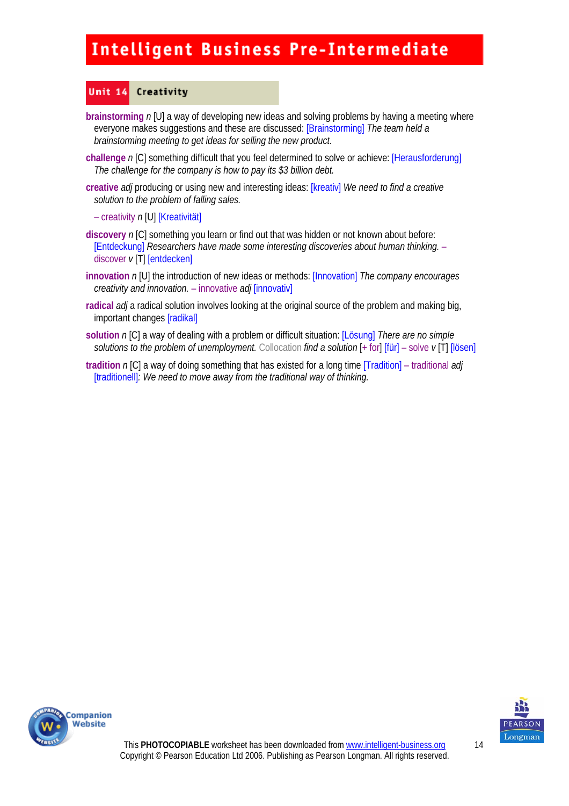#### Unit 14 Creativity

- **brainstorming** *n* [U] a way of developing new ideas and solving problems by having a meeting where everyone makes suggestions and these are discussed: [Brainstorming] *The team held a brainstorming meeting to get ideas for selling the new product.*
- **challenge** *n* [C] something difficult that you feel determined to solve or achieve: [Herausforderung] *The challenge for the company is how to pay its \$3 billion debt.*
- creative *adj* producing or using new and interesting ideas: [kreativ] *We need to find a creative solution to the problem of falling sales.* 
	- creativity *n* [U] [Kreativität]
- **discovery** *n* [C] something you learn or find out that was hidden or not known about before: [Entdeckung] *Researchers have made some interesting discoveries about human thinking.* – discover *v* [T] [entdecken]
- **innovation** *n* [U] the introduction of new ideas or methods: [Innovation] *The company encourages creativity and innovation.* – innovative *adj* [innovativ]
- **radical** *adj* a radical solution involves looking at the original source of the problem and making big, important changes [radikal]
- **solution** *n* [C] a way of dealing with a problem or difficult situation: [Lösung] *There are no simple solutions to the problem of unemployment.* Collocation *find a solution* [+ for] [für] – solve *v* [T] [lösen]
- **tradition** *n* [C] a way of doing something that has existed for a long time [Tradition] traditional *adj* [traditionell]*: We need to move away from the traditional way of thinking.*